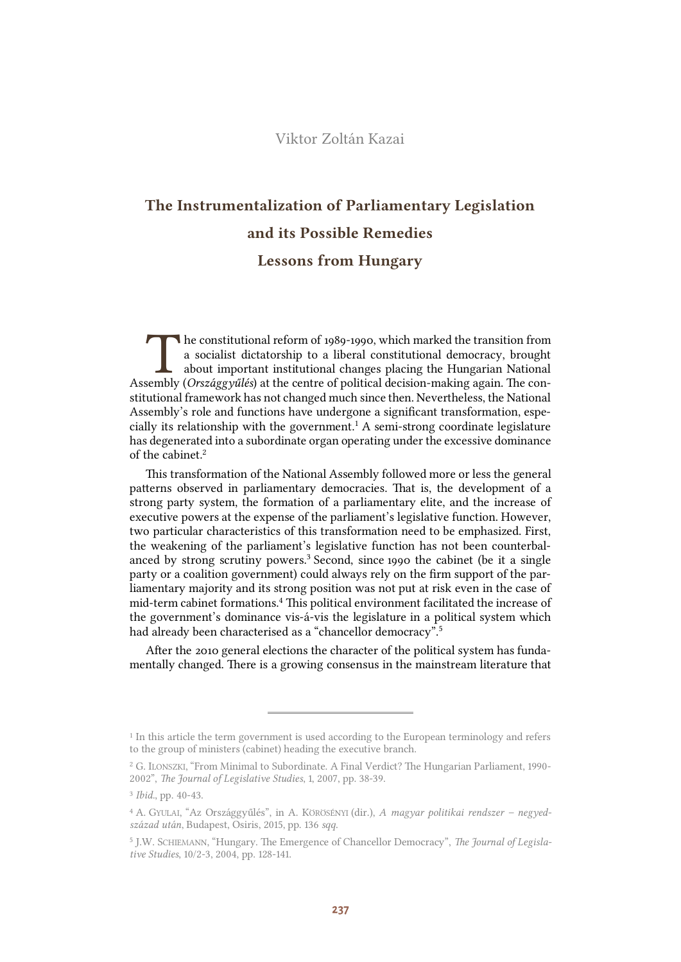# Viktor Zoltán Kazai

# The Instrumentalization of Parliamentary Legislation and its Possible Remedies Lessons from Hungary

he constitutional reform of 1989-1990, which marked the transition from a socialist dictatorship to a liberal constitutional democracy, brought about important institutional changes placing the Hungarian National The constitutional reform of 1989-1990, which marked the transition from<br>a socialist dictatorship to a liberal constitutional democracy, brought<br>about important institutional changes placing the Hungarian National<br>Assembly stitutional framework has not changed much since then. Nevertheless, the National Assembly's role and functions have undergone a significant transformation, especially its relationship with the government.<sup>1</sup> A semi-strong coordinate legislature has degenerated into a subordinate organ operating under the excessive dominance of the cabinet.<sup>2</sup>

This transformation of the National Assembly followed more or less the general patterns observed in parliamentary democracies. That is, the development of a strong party system, the formation of a parliamentary elite, and the increase of executive powers at the expense of the parliament's legislative function. However, two particular characteristics of this transformation need to be emphasized. First, the weakening of the parliament's legislative function has not been counterbalanced by strong scrutiny powers.<sup>3</sup> Second, since 1990 the cabinet (be it a single party or a coalition government) could always rely on the firm support of the parliamentary majority and its strong position was not put at risk even in the case of mid-term cabinet formations.<sup>4</sup> This political environment facilitated the increase of the government's dominance vis-á-vis the legislature in a political system which had already been characterised as a "chancellor democracy".<sup>5</sup>

After the 2010 general elections the character of the political system has fundamentally changed. There is a growing consensus in the mainstream literature that

<sup>&</sup>lt;sup>1</sup> In this article the term government is used according to the European terminology and refers to the group of ministers (cabinet) heading the executive branch.

<sup>2</sup> G. ILONSZKI, "From Minimal to Subordinate. A Final Verdict? The Hungarian Parliament, 1990- 2002", *The Journal of Legislative Studies*, 1, 2007, pp. 38-39.

<sup>3</sup> *Ibid.*, pp. 40-43.

<sup>4</sup> A. GYULAI, "Az Országgyűlés", in A. KÖRÖSÉNYI (dir.), *A magyar politikai rendszer – negyedszázad után*, Budapest, Osiris, 2015, pp. 136 *sqq*.

<sup>5</sup> J.W. SCHIEMANN, "Hungary. The Emergence of Chancellor Democracy", *The Journal of Legislative Studies*, 10/2-3, 2004, pp. 128-141.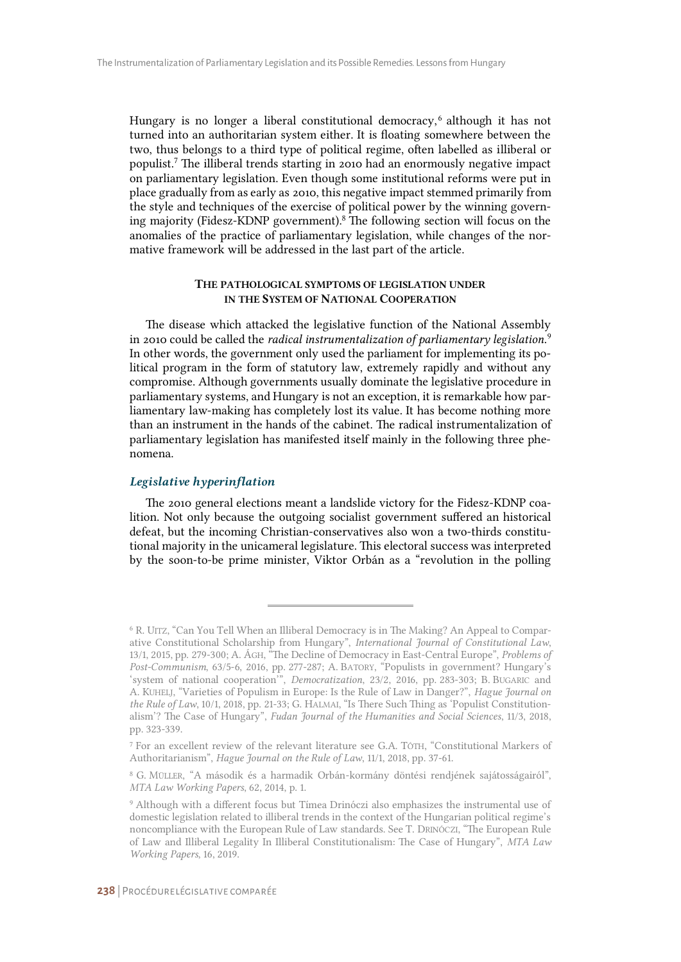Hungary is no longer a liberal constitutional democracy,<sup>6</sup> although it has not turned into an authoritarian system either. It is floating somewhere between the two, thus belongs to a third type of political regime, often labelled as illiberal or populist.<sup>7</sup> The illiberal trends starting in 2010 had an enormously negative impact on parliamentary legislation. Even though some institutional reforms were put in place gradually from as early as 2010, this negative impact stemmed primarily from the style and techniques of the exercise of political power by the winning governing majority (Fidesz-KDNP government).<sup>8</sup> The following section will focus on the anomalies of the practice of parliamentary legislation, while changes of the normative framework will be addressed in the last part of the article.

#### THE PATHOLOGICAL SYMPTOMS OF LEGISLATION UNDER IN THE SYSTEM OF NATIONAL COOPERATION

The disease which attacked the legislative function of the National Assembly in 2010 could be called the *radical instrumentalization of parliamentary legislation*. 9 In other words, the government only used the parliament for implementing its political program in the form of statutory law, extremely rapidly and without any compromise. Although governments usually dominate the legislative procedure in parliamentary systems, and Hungary is not an exception, it is remarkable how parliamentary law-making has completely lost its value. It has become nothing more than an instrument in the hands of the cabinet. The radical instrumentalization of parliamentary legislation has manifested itself mainly in the following three phenomena.

## *Legislative hyperinflation*

The 2010 general elections meant a landslide victory for the Fidesz-KDNP coalition. Not only because the outgoing socialist government suffered an historical defeat, but the incoming Christian-conservatives also won a two-thirds constitutional majority in the unicameral legislature. This electoral success was interpreted by the soon-to-be prime minister, Viktor Orbán as a "revolution in the polling

<sup>6</sup> R. UITZ, "Can You Tell When an Illiberal Democracy is in The Making? An Appeal to Comparative Constitutional Scholarship from Hungary", *International Journal of Constitutional Law*, 13/1, 2015, pp. 279-300; A. ÁGH, "The Decline of Democracy in East-Central Europe", *Problems of Post-Communism*, 63/5-6, 2016, pp. 277-287; A. BATORY, "Populists in government? Hungary's 'system of national cooperation'", *Democratization*, 23/2, 2016, pp. 283-303; B. BUGARIC and A. KUHELJ, "Varieties of Populism in Europe: Is the Rule of Law in Danger?", *Hague Journal on the Rule of Law*, 10/1, 2018, pp. 21-33; G. HALMAI, "Is There Such Thing as 'Populist Constitutionalism'? The Case of Hungary", *Fudan Journal of the Humanities and Social Sciences*, 11/3, 2018, pp. 323-339.

<sup>7</sup> For an excellent review of the relevant literature see G.A. TÓTH, "Constitutional Markers of Authoritarianism", *Hague Journal on the Rule of Law*, 11/1, 2018, pp. 37-61.

<sup>8</sup> G. MÜLLER, "A második és a harmadik Orbán-kormány döntési rendjének sajátosságairól", *MTA Law Working Papers*, 62, 2014, p. 1.

<sup>9</sup> Although with a different focus but Tímea Drinóczi also emphasizes the instrumental use of domestic legislation related to illiberal trends in the context of the Hungarian political regime's noncompliance with the European Rule of Law standards. See T. DRINÓCZI, "The European Rule of Law and Illiberal Legality In Illiberal Constitutionalism: The Case of Hungary", *MTA Law Working Papers*, 16, 2019.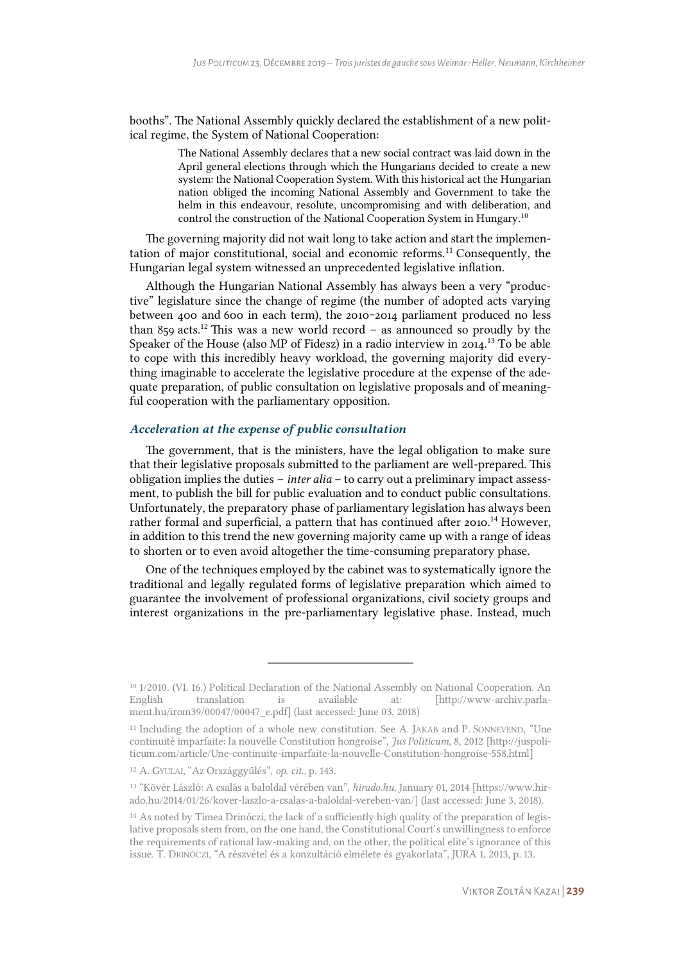booths". The National Assembly quickly declared the establishment of a new political regime, the System of National Cooperation:

> The National Assembly declares that a new social contract was laid down in the April general elections through which the Hungarians decided to create a new system: the National Cooperation System. With this historical act the Hungarian nation obliged the incoming National Assembly and Government to take the helm in this endeavour, resolute, uncompromising and with deliberation, and control the construction of the National Cooperation System in Hungary.<sup>10</sup>

The governing majority did not wait long to take action and start the implementation of major constitutional, social and economic reforms.<sup>11</sup> Consequently, the Hungarian legal system witnessed an unprecedented legislative inflation.

Although the Hungarian National Assembly has always been a very "productive" legislature since the change of regime (the number of adopted acts varying between 400 and 600 in each term), the 2010-2014 parliament produced no less than 859 acts.<sup>12</sup> This was a new world record – as announced so proudly by the Speaker of the House (also MP of Fidesz) in a radio interview in 2014.<sup>13</sup> To be able to cope with this incredibly heavy workload, the governing majority did everything imaginable to accelerate the legislative procedure at the expense of the adequate preparation, of public consultation on legislative proposals and of meaningful cooperation with the parliamentary opposition.

#### *Acceleration at the expense of public consultation*

The government, that is the ministers, have the legal obligation to make sure that their legislative proposals submitted to the parliament are well-prepared. This obligation implies the duties – *inter alia* – to carry out a preliminary impact assessment, to publish the bill for public evaluation and to conduct public consultations. Unfortunately, the preparatory phase of parliamentary legislation has always been rather formal and superficial, a pattern that has continued after 2010.<sup>14</sup> However, in addition to this trend the new governing majority came up with a range of ideas to shorten or to even avoid altogether the time-consuming preparatory phase.

One of the techniques employed by the cabinet was to systematically ignore the traditional and legally regulated forms of legislative preparation which aimed to guarantee the involvement of professional organizations, civil society groups and interest organizations in the pre-parliamentary legislative phase. Instead, much

<sup>10</sup> 1/2010. (VI. 16.) Political Declaration of the National Assembly on National Cooperation. An English translation is available at: [http://www-archiv.parlament.hu/irom39/00047/00047\_e.pdf] (last accessed: June 03, 2018)

<sup>11</sup> Including the adoption of a whole new constitution. See A. JAKAB and P. SONNEVEND, "Une continuité imparfaite: la nouvelle Constitution hongroise", *Jus Politicum*, 8, 2012 [http://juspoliticum.com/article/Une-continuite-imparfaite-la-nouvelle-Constitution-hongroise-558.html]

<sup>12</sup> A. GYULAI, "Az Országgyűlés", *op. cit.*, p. 143.

<sup>13</sup> "Kövér László: A csalás a baloldal vérében van", *hirado.hu*, January 01, 2014 [https://www.hirado.hu/2014/01/26/kover-laszlo-a-csalas-a-baloldal-vereben-van/] (last accessed: June 3, 2018).

<sup>&</sup>lt;sup>14</sup> As noted by Tímea Drinóczi, the lack of a sufficiently high quality of the preparation of legislative proposals stem from, on the one hand, the Constitutional Court's unwillingness to enforce the requirements of rational law-making and, on the other, the political elite's ignorance of this issue. T. DRINÓCZI, "A részvétel és a konzultáció elmélete és gyakorlata", JURA 1, 2013, p. 13.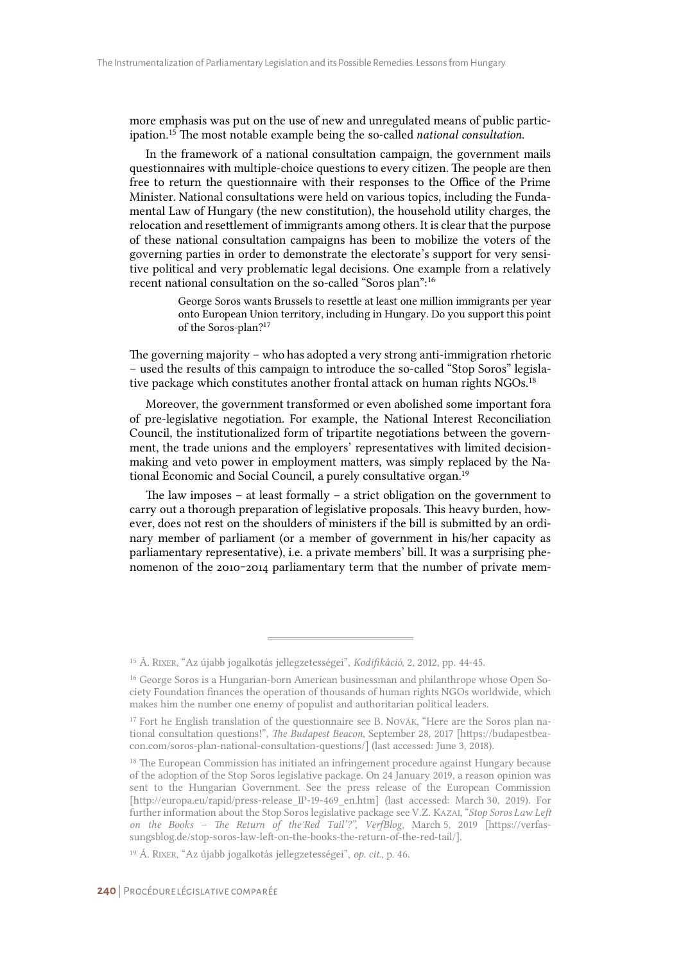more emphasis was put on the use of new and unregulated means of public participation.<sup>15</sup> The most notable example being the so-called *national consultation*.

In the framework of a national consultation campaign, the government mails questionnaires with multiple-choice questions to every citizen. The people are then free to return the questionnaire with their responses to the Office of the Prime Minister. National consultations were held on various topics, including the Fundamental Law of Hungary (the new constitution), the household utility charges, the relocation and resettlement of immigrants among others. It is clear that the purpose of these national consultation campaigns has been to mobilize the voters of the governing parties in order to demonstrate the electorate's support for very sensitive political and very problematic legal decisions. One example from a relatively recent national consultation on the so-called "Soros plan":<sup>16</sup>

> George Soros wants Brussels to resettle at least one million immigrants per year onto European Union territory, including in Hungary. Do you support this point of the Soros-plan?<sup>17</sup>

The governing majority – who has adopted a very strong anti-immigration rhetoric – used the results of this campaign to introduce the so-called "Stop Soros" legislative package which constitutes another frontal attack on human rights NGOs.<sup>18</sup>

Moreover, the government transformed or even abolished some important fora of pre-legislative negotiation. For example, the National Interest Reconciliation Council, the institutionalized form of tripartite negotiations between the government, the trade unions and the employers' representatives with limited decisionmaking and veto power in employment matters, was simply replaced by the National Economic and Social Council, a purely consultative organ.<sup>19</sup>

The law imposes – at least formally – a strict obligation on the government to carry out a thorough preparation of legislative proposals. This heavy burden, however, does not rest on the shoulders of ministers if the bill is submitted by an ordinary member of parliament (or a member of government in his/her capacity as parliamentary representative), i.e. a private members' bill. It was a surprising phenomenon of the 2010-2014 parliamentary term that the number of private mem-

<sup>15</sup> Á. RIXER, "Az újabb jogalkotás jellegzetességei", *Kodifikáció*, 2, 2012, pp. 44-45.

<sup>&</sup>lt;sup>16</sup> George Soros is a Hungarian-born American businessman and philanthrope whose Open Society Foundation finances the operation of thousands of human rights NGOs worldwide, which makes him the number one enemy of populist and authoritarian political leaders.

<sup>&</sup>lt;sup>17</sup> Fort he English translation of the questionnaire see B. NOVÁK, "Here are the Soros plan national consultation questions!", *The Budapest Beacon*, September 28, 2017 [https://budapestbeacon.com/soros-plan-national-consultation-questions/] (last accessed: June 3, 2018).

<sup>18</sup> The European Commission has initiated an infringement procedure against Hungary because of the adoption of the Stop Soros legislative package. On 24 January 2019, a reason opinion was sent to the Hungarian Government. See the press release of the European Commission [http://europa.eu/rapid/press-release IP-19-469 en.htm] (last accessed: March 30, 2019). For further information about the Stop Soros legislative package see V.Z. KAZAI, "*Stop Soros Law Left on the Books – The Return of the ̒Red Tail'?", VerfBlog,* March 5, 2019 [https://verfassungsblog.de/stop-soros-law-left-on-the-books-the-return-of-the-red-tail/].

<sup>19</sup> Á. RIXER, "Az újabb jogalkotás jellegzetességei", *op. cit.*, p. 46.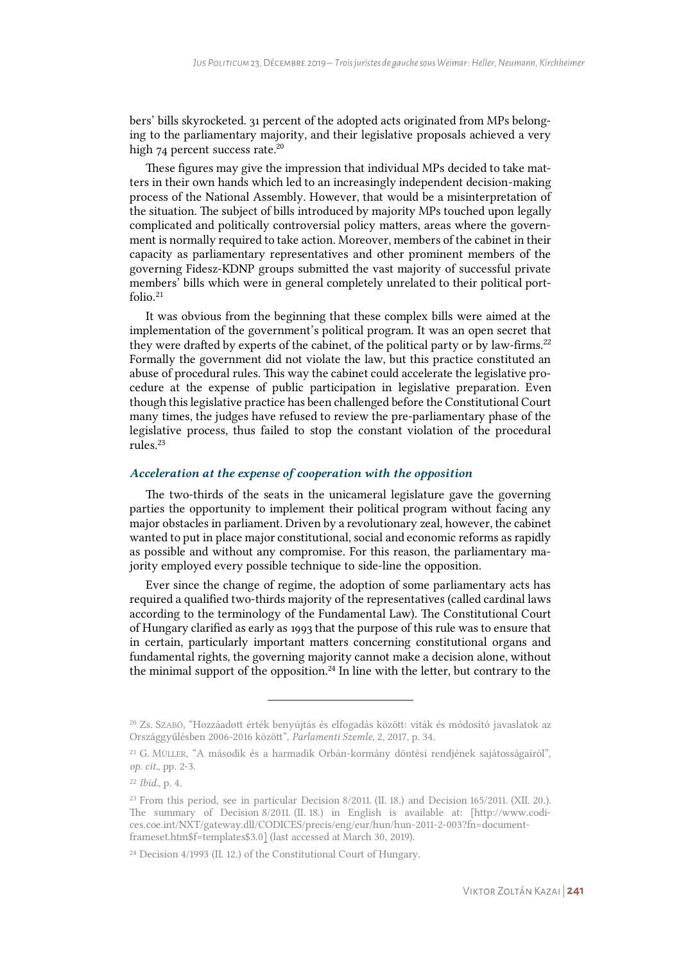bers' bills skyrocketed. 31 percent of the adopted acts originated from MPs belonging to the parliamentary majority, and their legislative proposals achieved a very high 74 percent success rate.<sup>20</sup>

These figures may give the impression that individual MPs decided to take matters in their own hands which led to an increasingly independent decision-making process of the National Assembly. However, that would be a misinterpretation of the situation. The subject of bills introduced by majority MPs touched upon legally complicated and politically controversial policy matters, areas where the government is normally required to take action. Moreover, members of the cabinet in their capacity as parliamentary representatives and other prominent members of the governing Fidesz-KDNP groups submitted the vast majority of successful private members' bills which were in general completely unrelated to their political portfolio.<sup>21</sup>

It was obvious from the beginning that these complex bills were aimed at the implementation of the government's political program. It was an open secret that they were drafted by experts of the cabinet, of the political party or by law-firms. $22$ Formally the government did not violate the law, but this practice constituted an abuse of procedural rules. This way the cabinet could accelerate the legislative procedure at the expense of public participation in legislative preparation. Even though this legislative practice has been challenged before the Constitutional Court many times, the judges have refused to review the pre-parliamentary phase of the legislative process, thus failed to stop the constant violation of the procedural rules.<sup>23</sup>

### *Acceleration at the expense of cooperation with the opposition*

The two-thirds of the seats in the unicameral legislature gave the governing parties the opportunity to implement their political program without facing any major obstacles in parliament. Driven by a revolutionary zeal, however, the cabinet wanted to put in place major constitutional, social and economic reforms as rapidly as possible and without any compromise. For this reason, the parliamentary majority employed every possible technique to side-line the opposition.

Ever since the change of regime, the adoption of some parliamentary acts has required a qualified two-thirds majority of the representatives (called cardinal laws according to the terminology of the Fundamental Law). The Constitutional Court of Hungary clarified as early as 1993 that the purpose of this rule was to ensure that in certain, particularly important matters concerning constitutional organs and fundamental rights, the governing majority cannot make a decision alone, without the minimal support of the opposition. $24$  In line with the letter, but contrary to the

<sup>20</sup> Zs. SZABÓ, "Hozzáadott érték benyújtás és elfogadás között: viták és módosító javaslatok az Országgyűlésben 2006-2016 között", *Parlamenti Szemle*, 2, 2017, p. 34.

<sup>21</sup> G. MÜLLER, "A második és a harmadik Orbán-kormány döntési rendjének sajátosságairól", *op. cit.*, pp. 2-3.

<sup>22</sup> *Ibid.*, p. 4.

<sup>23</sup> From this period, see in particular Decision 8/2011. (II. 18.) and Decision 165/2011. (XII. 20.). The summary of Decision 8/2011. (II. 18.) in English is available at: [http://www.codices.coe.int/NXT/gateway.dll/CODICES/precis/eng/eur/hun/hun-2011-2-003?fn=documentframeset.htm\$f=templates\$3.0] (last accessed at March 30, 2019).

<sup>24</sup> Decision 4/1993 (II. 12.) of the Constitutional Court of Hungary.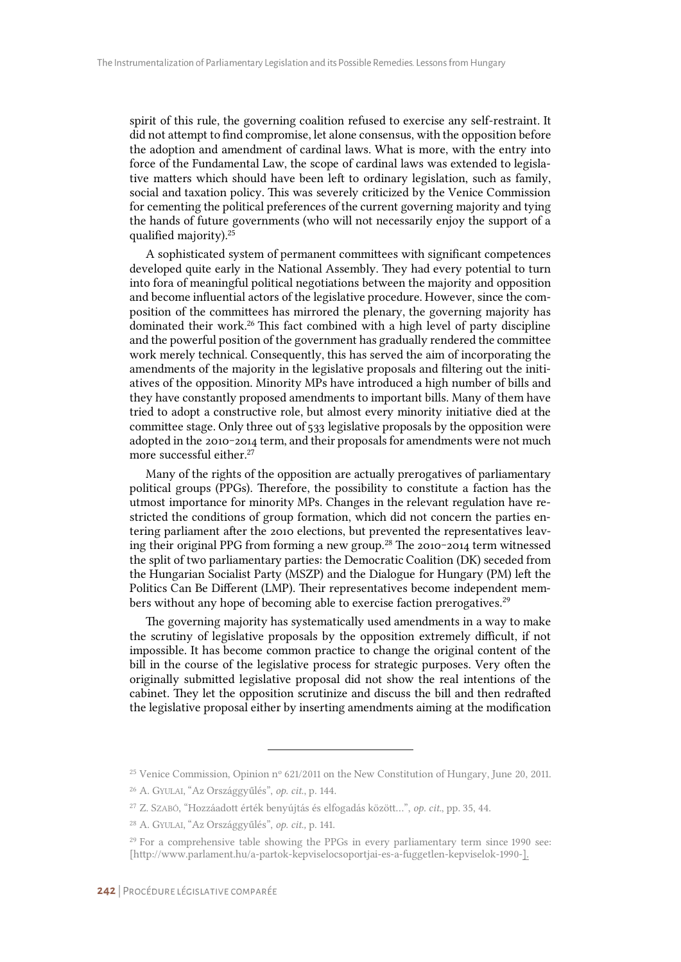spirit of this rule, the governing coalition refused to exercise any self-restraint. It did not attempt to find compromise, let alone consensus, with the opposition before the adoption and amendment of cardinal laws. What is more, with the entry into force of the Fundamental Law, the scope of cardinal laws was extended to legislative matters which should have been left to ordinary legislation, such as family, social and taxation policy. This was severely criticized by the Venice Commission for cementing the political preferences of the current governing majority and tying the hands of future governments (who will not necessarily enjoy the support of a qualified majority).<sup>25</sup>

A sophisticated system of permanent committees with significant competences developed quite early in the National Assembly. They had every potential to turn into fora of meaningful political negotiations between the majority and opposition and become influential actors of the legislative procedure. However, since the composition of the committees has mirrored the plenary, the governing majority has dominated their work.<sup>26</sup> This fact combined with a high level of party discipline and the powerful position of the government has gradually rendered the committee work merely technical. Consequently, this has served the aim of incorporating the amendments of the majority in the legislative proposals and filtering out the initiatives of the opposition. Minority MPs have introduced a high number of bills and they have constantly proposed amendments to important bills. Many of them have tried to adopt a constructive role, but almost every minority initiative died at the committee stage. Only three out of 533 legislative proposals by the opposition were adopted in the 2010-2014 term, and their proposals for amendments were not much more successful either.<sup>27</sup>

Many of the rights of the opposition are actually prerogatives of parliamentary political groups (PPGs). Therefore, the possibility to constitute a faction has the utmost importance for minority MPs. Changes in the relevant regulation have restricted the conditions of group formation, which did not concern the parties entering parliament after the 2010 elections, but prevented the representatives leaving their original PPG from forming a new group.<sup>28</sup> The 2010-2014 term witnessed the split of two parliamentary parties: the Democratic Coalition (DK) seceded from the Hungarian Socialist Party (MSZP) and the Dialogue for Hungary (PM) left the Politics Can Be Different (LMP). Their representatives become independent members without any hope of becoming able to exercise faction prerogatives.<sup>29</sup>

The governing majority has systematically used amendments in a way to make the scrutiny of legislative proposals by the opposition extremely difficult, if not impossible. It has become common practice to change the original content of the bill in the course of the legislative process for strategic purposes. Very often the originally submitted legislative proposal did not show the real intentions of the cabinet. They let the opposition scrutinize and discuss the bill and then redrafted the legislative proposal either by inserting amendments aiming at the modification

<sup>&</sup>lt;sup>25</sup> Venice Commission, Opinion n<sup>o</sup>  $621/2011$  on the New Constitution of Hungary, June 20, 2011.

<sup>26</sup> A. GYULAI, "Az Országgyűlés", *op. cit.*, p. 144.

<sup>27</sup> Z. SZABÓ, "Hozzáadott érték benyújtás és elfogadás között…", *op. cit.*, pp. 35, 44.

<sup>28</sup> A. GYULAI, "Az Országgyűlés", *op. cit.,* p. 141.

<sup>&</sup>lt;sup>29</sup> For a comprehensive table showing the PPGs in every parliamentary term since 1990 see: [http://www.parlament.hu/a-partok-kepviselocsoportjai-es-a-fuggetlen-kepviselok-1990-].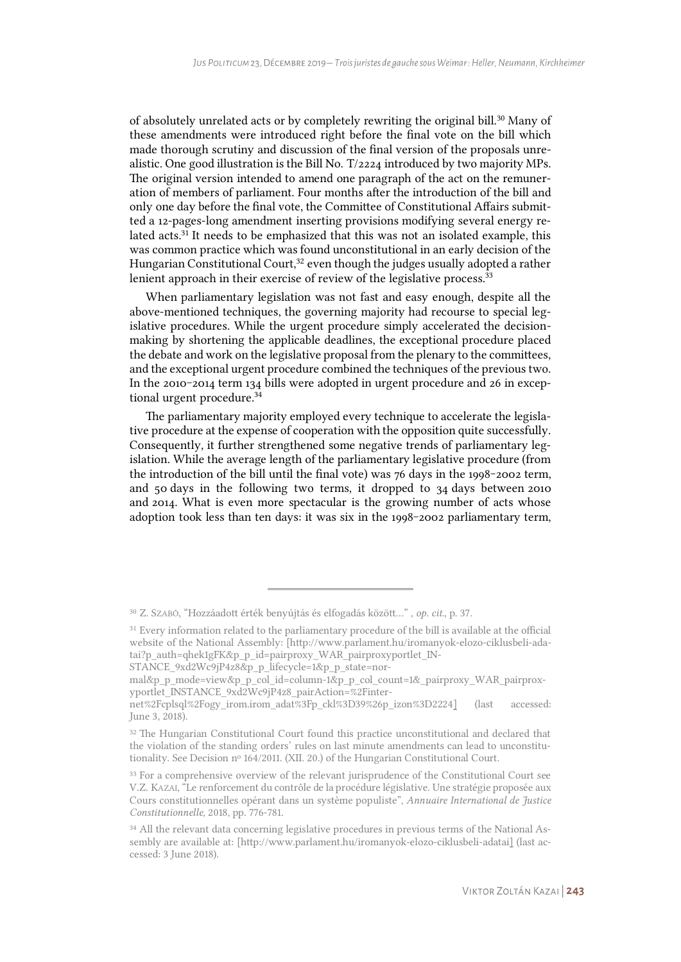of absolutely unrelated acts or by completely rewriting the original bill.<sup>30</sup> Many of these amendments were introduced right before the final vote on the bill which made thorough scrutiny and discussion of the final version of the proposals unrealistic. One good illustration is the Bill No. T/2224 introduced by two majority MPs. The original version intended to amend one paragraph of the act on the remuneration of members of parliament. Four months after the introduction of the bill and only one day before the final vote, the Committee of Constitutional Affairs submitted a 12-pages-long amendment inserting provisions modifying several energy related acts.<sup>31</sup> It needs to be emphasized that this was not an isolated example, this was common practice which was found unconstitutional in an early decision of the Hungarian Constitutional Court, $32$  even though the judges usually adopted a rather lenient approach in their exercise of review of the legislative process.<sup>33</sup>

When parliamentary legislation was not fast and easy enough, despite all the above-mentioned techniques, the governing majority had recourse to special legislative procedures. While the urgent procedure simply accelerated the decisionmaking by shortening the applicable deadlines, the exceptional procedure placed the debate and work on the legislative proposal from the plenary to the committees, and the exceptional urgent procedure combined the techniques of the previous two. In the  $2010 - 2014$  term 134 bills were adopted in urgent procedure and 26 in exceptional urgent procedure.<sup>34</sup>

The parliamentary majority employed every technique to accelerate the legislative procedure at the expense of cooperation with the opposition quite successfully. Consequently, it further strengthened some negative trends of parliamentary legislation. While the average length of the parliamentary legislative procedure (from the introduction of the bill until the final vote) was  $76$  days in the 1998–2002 term, and 50 days in the following two terms, it dropped to 34 days between 2010 and 2014. What is even more spectacular is the growing number of acts whose adoption took less than ten days: it was six in the 1998-2002 parliamentary term,

<sup>30</sup> Z. SZABÓ, "Hozzáadott érték benyújtás és elfogadás között…" , *op. cit.*, p. 37.

<sup>&</sup>lt;sup>31</sup> Every information related to the parliamentary procedure of the bill is available at the official website of the National Assembly: [http://www.parlament.hu/iromanyok-elozo-ciklusbeli-adatai?p\_auth=qhek1gFK&p\_p\_id=pairproxy\_WAR\_pairproxyportlet\_IN-

STANCE\_9xd2Wc9jP4z8&p\_p\_lifecycle=1&p\_p\_state=nor-

mal&p\_p\_mode=view&p\_p\_col\_id=column-1&p\_p\_col\_count=1&\_pairproxy\_WAR\_pairproxyportlet\_INSTANCE\_9xd2Wc9jP4z8\_pairAction=%2Finter-

net%2Fcplsql%2Fogy\_irom.irom\_adat%3Fp\_ckl%3D39%26p\_izon%3D2224] (last accessed: June 3, 2018).

<sup>&</sup>lt;sup>32</sup> The Hungarian Constitutional Court found this practice unconstitutional and declared that the violation of the standing orders' rules on last minute amendments can lead to unconstitutionality. See Decision nº 164/2011. (XII. 20.) of the Hungarian Constitutional Court.

<sup>&</sup>lt;sup>33</sup> For a comprehensive overview of the relevant jurisprudence of the Constitutional Court see V.Z. KAZAI, "Le renforcement du contrôle de la procédure législative. Une stratégie proposée aux Cours constitutionnelles opérant dans un système populiste", *Annuaire International de Justice Constitutionnelle*, 2018, pp. 776-781.

<sup>&</sup>lt;sup>34</sup> All the relevant data concerning legislative procedures in previous terms of the National Assembly are available at: [http://www.parlament.hu/iromanyok-elozo-ciklusbeli-adatai] (last accessed: 3 June 2018).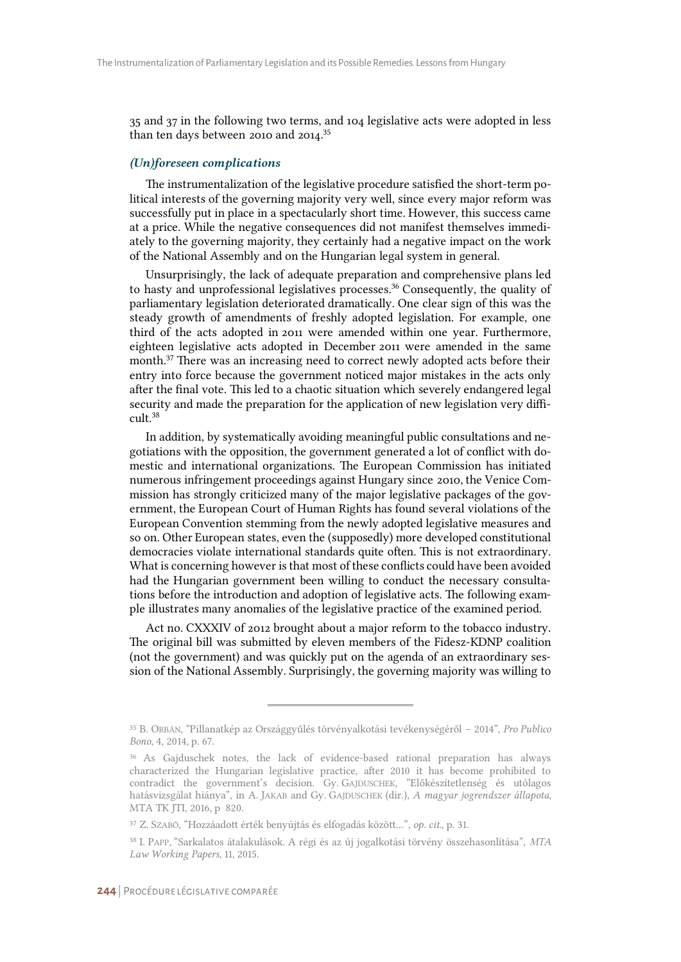35 and 37 in the following two terms, and 104 legislative acts were adopted in less than ten days between 2010 and 2014.<sup>35</sup>

#### *(Un)foreseen complications*

The instrumentalization of the legislative procedure satisfied the short-term political interests of the governing majority very well, since every major reform was successfully put in place in a spectacularly short time. However, this success came at a price. While the negative consequences did not manifest themselves immediately to the governing majority, they certainly had a negative impact on the work of the National Assembly and on the Hungarian legal system in general.

Unsurprisingly, the lack of adequate preparation and comprehensive plans led to hasty and unprofessional legislatives processes.<sup>36</sup> Consequently, the quality of parliamentary legislation deteriorated dramatically. One clear sign of this was the steady growth of amendments of freshly adopted legislation. For example, one third of the acts adopted in 2011 were amended within one year. Furthermore, eighteen legislative acts adopted in December 2011 were amended in the same month.<sup>37</sup> There was an increasing need to correct newly adopted acts before their entry into force because the government noticed major mistakes in the acts only after the final vote. This led to a chaotic situation which severely endangered legal security and made the preparation for the application of new legislation very difficult.<sup>38</sup>

In addition, by systematically avoiding meaningful public consultations and negotiations with the opposition, the government generated a lot of conflict with domestic and international organizations. The European Commission has initiated numerous infringement proceedings against Hungary since 2010, the Venice Commission has strongly criticized many of the major legislative packages of the government, the European Court of Human Rights has found several violations of the European Convention stemming from the newly adopted legislative measures and so on. Other European states, even the (supposedly) more developed constitutional democracies violate international standards quite often. This is not extraordinary. What is concerning however is that most of these conflicts could have been avoided had the Hungarian government been willing to conduct the necessary consultations before the introduction and adoption of legislative acts. The following example illustrates many anomalies of the legislative practice of the examined period.

Act no. CXXXIV of 2012 brought about a major reform to the tobacco industry. The original bill was submitted by eleven members of the Fidesz-KDNP coalition (not the government) and was quickly put on the agenda of an extraordinary session of the National Assembly. Surprisingly, the governing majority was willing to

<sup>35</sup> B. ORBÁN, "Pillanatkép az Országgyűlés törvényalkotási tevékenységéről – 2014", *Pro Publico Bono*, 4, 2014, p. 67.

<sup>36</sup> As Gajduschek notes, the lack of evidence-based rational preparation has always characterized the Hungarian legislative practice, after 2010 it has become prohibited to contradict the government's decision. Gy. GAJDUSCHEK, "Előkészítetlenség és utólagos hatásvizsgálat hiánya", in A. JAKAB and Gy. GAJDUSCHEK (dir.), *A magyar jogrendszer állapota*, MTA TK JTI, 2016, p 820.

<sup>37</sup> Z. SZABÓ, "Hozzáadott érték benyújtás és elfogadás között…", *op. cit.*, p. 31.

<sup>38</sup> I. PAPP, "Sarkalatos átalakulások. A régi és az új jogalkotási törvény összehasonlítása", *MTA Law Working Papers*, 11, 2015.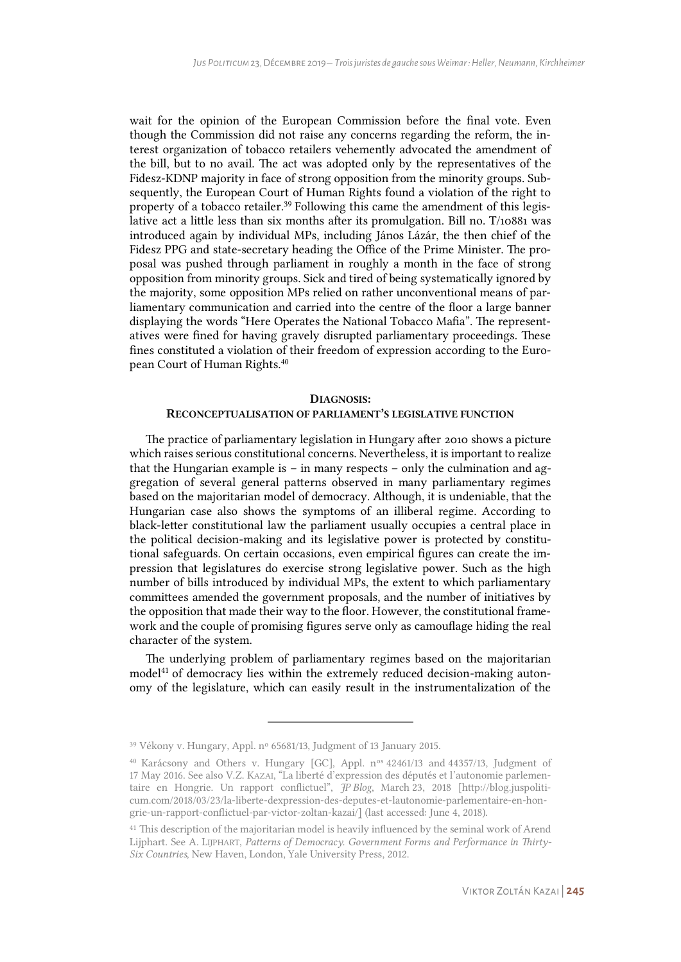wait for the opinion of the European Commission before the final vote. Even though the Commission did not raise any concerns regarding the reform, the interest organization of tobacco retailers vehemently advocated the amendment of the bill, but to no avail. The act was adopted only by the representatives of the Fidesz-KDNP majority in face of strong opposition from the minority groups. Subsequently, the European Court of Human Rights found a violation of the right to property of a tobacco retailer.<sup>39</sup> Following this came the amendment of this legislative act a little less than six months after its promulgation. Bill no. T/10881 was introduced again by individual MPs, including János Lázár, the then chief of the Fidesz PPG and state-secretary heading the Office of the Prime Minister. The proposal was pushed through parliament in roughly a month in the face of strong opposition from minority groups. Sick and tired of being systematically ignored by the majority, some opposition MPs relied on rather unconventional means of parliamentary communication and carried into the centre of the floor a large banner displaying the words "Here Operates the National Tobacco Mafia". The representatives were fined for having gravely disrupted parliamentary proceedings. These fines constituted a violation of their freedom of expression according to the European Court of Human Rights.<sup>40</sup>

## DIAGNOSIS: RECONCEPTUALISATION OF PARLIAMENT'S LEGISLATIVE FUNCTION

The practice of parliamentary legislation in Hungary after 2010 shows a picture which raises serious constitutional concerns. Nevertheless, it is important to realize that the Hungarian example is – in many respects – only the culmination and aggregation of several general patterns observed in many parliamentary regimes based on the majoritarian model of democracy. Although, it is undeniable, that the Hungarian case also shows the symptoms of an illiberal regime. According to black-letter constitutional law the parliament usually occupies a central place in the political decision-making and its legislative power is protected by constitutional safeguards. On certain occasions, even empirical figures can create the impression that legislatures do exercise strong legislative power. Such as the high number of bills introduced by individual MPs, the extent to which parliamentary committees amended the government proposals, and the number of initiatives by the opposition that made their way to the floor. However, the constitutional framework and the couple of promising figures serve only as camouflage hiding the real character of the system.

The underlying problem of parliamentary regimes based on the majoritarian model<sup>41</sup> of democracy lies within the extremely reduced decision-making autonomy of the legislature, which can easily result in the instrumentalization of the

<sup>&</sup>lt;sup>39</sup> Vékony v. Hungary, Appl. nº 65681/13, Judgment of 13 January 2015.

<sup>&</sup>lt;sup>40</sup> Karácsony and Others v. Hungary [GC], Appl. n<sup>os</sup> 42461/13 and 44357/13, Judgment of 17 May 2016. See also V.Z. KAZAI, "La liberté d'expression des députés et l'autonomie parlementaire en Hongrie. Un rapport conflictuel", *JP Blog*, March 23, 2018 [http://blog.juspoliticum.com/2018/03/23/la-liberte-dexpression-des-deputes-et-lautonomie-parlementaire-en-hongrie-un-rapport-conflictuel-par-victor-zoltan-kazai/] (last accessed: June 4, 2018).

<sup>&</sup>lt;sup>41</sup> This description of the majoritarian model is heavily influenced by the seminal work of Arend Lijphart. See A. LIJPHART, *Patterns of Democracy. Government Forms and Performance in Thirty-Six Countries*, New Haven, London, Yale University Press, 2012.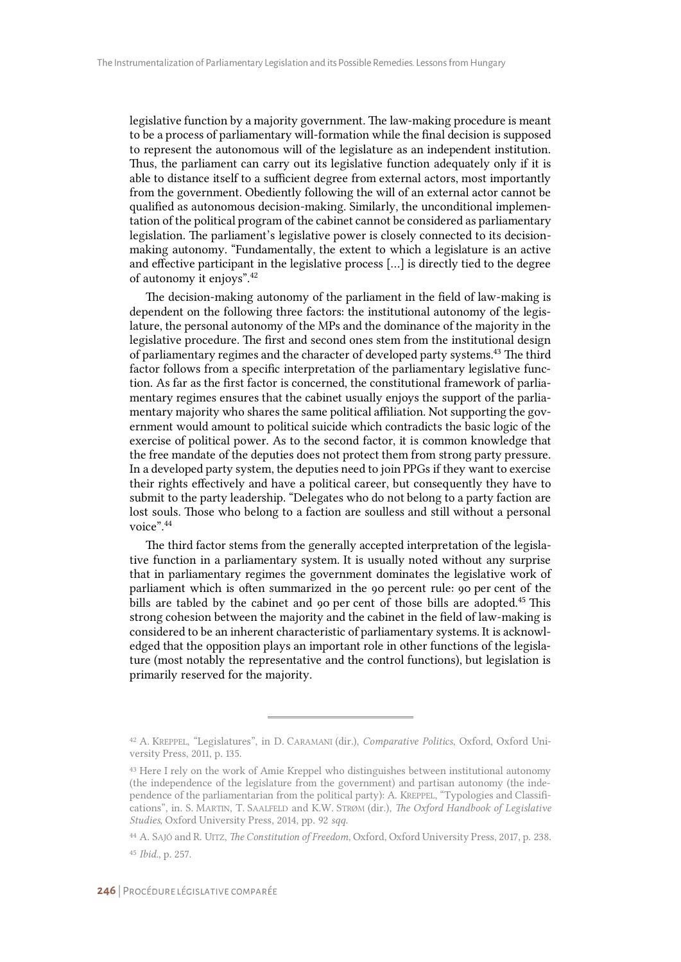legislative function by a majority government. The law-making procedure is meant to be a process of parliamentary will-formation while the final decision is supposed to represent the autonomous will of the legislature as an independent institution. Thus, the parliament can carry out its legislative function adequately only if it is able to distance itself to a sufficient degree from external actors, most importantly from the government. Obediently following the will of an external actor cannot be qualified as autonomous decision-making. Similarly, the unconditional implementation of the political program of the cabinet cannot be considered as parliamentary legislation. The parliament's legislative power is closely connected to its decisionmaking autonomy. "Fundamentally, the extent to which a legislature is an active and effective participant in the legislative process […] is directly tied to the degree of autonomy it enjoys".<sup>42</sup>

The decision-making autonomy of the parliament in the field of law-making is dependent on the following three factors: the institutional autonomy of the legislature, the personal autonomy of the MPs and the dominance of the majority in the legislative procedure. The first and second ones stem from the institutional design of parliamentary regimes and the character of developed party systems.<sup>43</sup> The third factor follows from a specific interpretation of the parliamentary legislative function. As far as the first factor is concerned, the constitutional framework of parliamentary regimes ensures that the cabinet usually enjoys the support of the parliamentary majority who shares the same political affiliation. Not supporting the government would amount to political suicide which contradicts the basic logic of the exercise of political power. As to the second factor, it is common knowledge that the free mandate of the deputies does not protect them from strong party pressure. In a developed party system, the deputies need to join PPGs if they want to exercise their rights effectively and have a political career, but consequently they have to submit to the party leadership. "Delegates who do not belong to a party faction are lost souls. Those who belong to a faction are soulless and still without a personal voice".<sup>44</sup>

The third factor stems from the generally accepted interpretation of the legislative function in a parliamentary system. It is usually noted without any surprise that in parliamentary regimes the government dominates the legislative work of parliament which is often summarized in the 90 percent rule: 90 per cent of the bills are tabled by the cabinet and 90 per cent of those bills are adopted.<sup>45</sup> This strong cohesion between the majority and the cabinet in the field of law-making is considered to be an inherent characteristic of parliamentary systems. It is acknowledged that the opposition plays an important role in other functions of the legislature (most notably the representative and the control functions), but legislation is primarily reserved for the majority.

<sup>42</sup> A. KREPPEL, "Legislatures", in D. CARAMANI (dir.), *Comparative Politics*, Oxford, Oxford University Press, 2011, p. 135.

<sup>43</sup> Here I rely on the work of Amie Kreppel who distinguishes between institutional autonomy (the independence of the legislature from the government) and partisan autonomy (the independence of the parliamentarian from the political party): A. KREPPEL, "Typologies and Classifications", in. S. MARTIN, T. SAALFELD and K.W. STRØM (dir.), *The Oxford Handbook of Legislative Studies*, Oxford University Press, 2014, pp. 92 *sqq*.

<sup>44</sup> A. SAJÓ and R. UITZ, *The Constitution of Freedom*, Oxford, Oxford University Press, 2017, p. 238. <sup>45</sup> *Ibid.*, p. 257.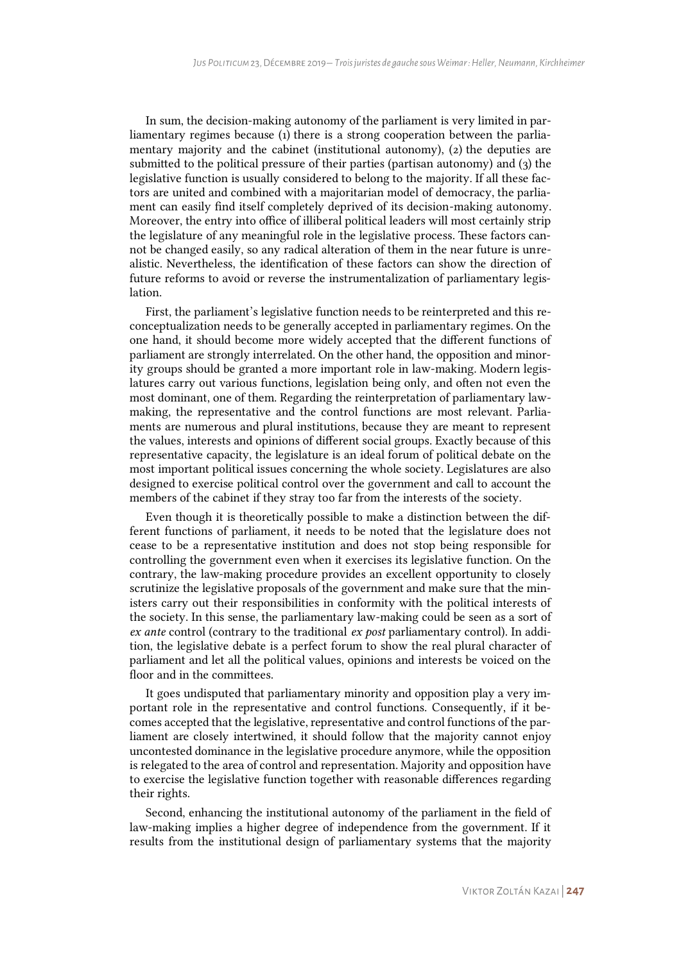In sum, the decision-making autonomy of the parliament is very limited in parliamentary regimes because (1) there is a strong cooperation between the parliamentary majority and the cabinet (institutional autonomy), (2) the deputies are submitted to the political pressure of their parties (partisan autonomy) and (3) the legislative function is usually considered to belong to the majority. If all these factors are united and combined with a majoritarian model of democracy, the parliament can easily find itself completely deprived of its decision-making autonomy. Moreover, the entry into office of illiberal political leaders will most certainly strip the legislature of any meaningful role in the legislative process. These factors cannot be changed easily, so any radical alteration of them in the near future is unrealistic. Nevertheless, the identification of these factors can show the direction of future reforms to avoid or reverse the instrumentalization of parliamentary legislation.

First, the parliament's legislative function needs to be reinterpreted and this reconceptualization needs to be generally accepted in parliamentary regimes. On the one hand, it should become more widely accepted that the different functions of parliament are strongly interrelated. On the other hand, the opposition and minority groups should be granted a more important role in law-making. Modern legislatures carry out various functions, legislation being only, and often not even the most dominant, one of them. Regarding the reinterpretation of parliamentary lawmaking, the representative and the control functions are most relevant. Parliaments are numerous and plural institutions, because they are meant to represent the values, interests and opinions of different social groups. Exactly because of this representative capacity, the legislature is an ideal forum of political debate on the most important political issues concerning the whole society. Legislatures are also designed to exercise political control over the government and call to account the members of the cabinet if they stray too far from the interests of the society.

Even though it is theoretically possible to make a distinction between the different functions of parliament, it needs to be noted that the legislature does not cease to be a representative institution and does not stop being responsible for controlling the government even when it exercises its legislative function. On the contrary, the law-making procedure provides an excellent opportunity to closely scrutinize the legislative proposals of the government and make sure that the ministers carry out their responsibilities in conformity with the political interests of the society. In this sense, the parliamentary law-making could be seen as a sort of *ex ante* control (contrary to the traditional *ex post* parliamentary control). In addition, the legislative debate is a perfect forum to show the real plural character of parliament and let all the political values, opinions and interests be voiced on the floor and in the committees.

It goes undisputed that parliamentary minority and opposition play a very important role in the representative and control functions. Consequently, if it becomes accepted that the legislative, representative and control functions of the parliament are closely intertwined, it should follow that the majority cannot enjoy uncontested dominance in the legislative procedure anymore, while the opposition is relegated to the area of control and representation. Majority and opposition have to exercise the legislative function together with reasonable differences regarding their rights.

Second, enhancing the institutional autonomy of the parliament in the field of law-making implies a higher degree of independence from the government. If it results from the institutional design of parliamentary systems that the majority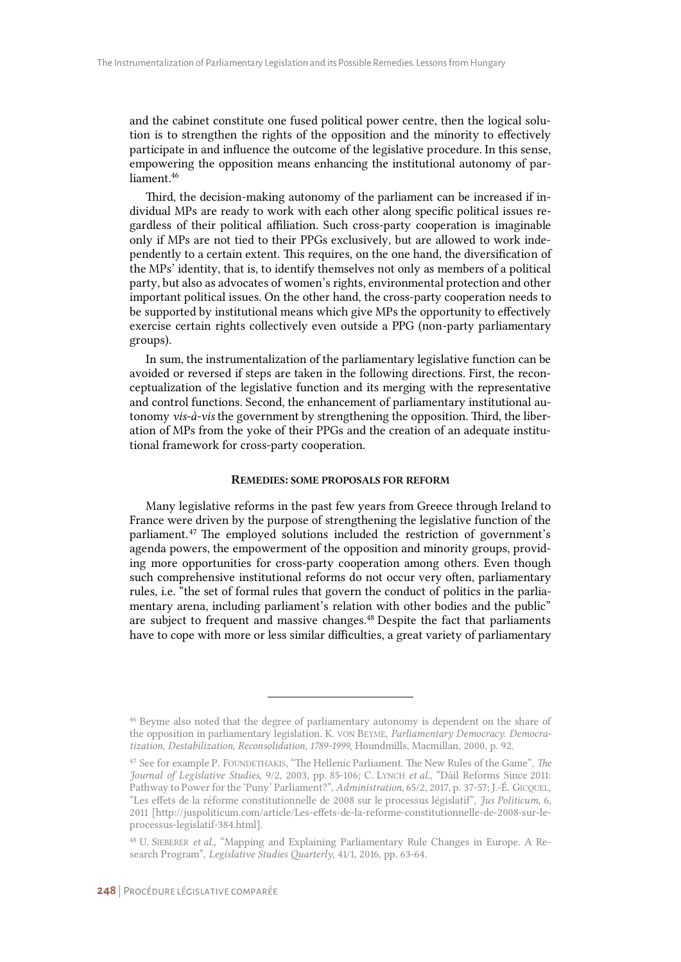and the cabinet constitute one fused political power centre, then the logical solution is to strengthen the rights of the opposition and the minority to effectively participate in and influence the outcome of the legislative procedure. In this sense, empowering the opposition means enhancing the institutional autonomy of parliament.<sup>46</sup>

Third, the decision-making autonomy of the parliament can be increased if individual MPs are ready to work with each other along specific political issues regardless of their political affiliation. Such cross-party cooperation is imaginable only if MPs are not tied to their PPGs exclusively, but are allowed to work independently to a certain extent. This requires, on the one hand, the diversification of the MPs' identity, that is, to identify themselves not only as members of a political party, but also as advocates of women's rights, environmental protection and other important political issues. On the other hand, the cross-party cooperation needs to be supported by institutional means which give MPs the opportunity to effectively exercise certain rights collectively even outside a PPG (non-party parliamentary groups).

In sum, the instrumentalization of the parliamentary legislative function can be avoided or reversed if steps are taken in the following directions. First, the reconceptualization of the legislative function and its merging with the representative and control functions. Second, the enhancement of parliamentary institutional autonomy *vis-à-vis* the government by strengthening the opposition. Third, the liberation of MPs from the yoke of their PPGs and the creation of an adequate institutional framework for cross-party cooperation.

#### REMEDIES: SOME PROPOSALS FOR REFORM

Many legislative reforms in the past few years from Greece through Ireland to France were driven by the purpose of strengthening the legislative function of the parliament.<sup>47</sup> The employed solutions included the restriction of government's agenda powers, the empowerment of the opposition and minority groups, providing more opportunities for cross-party cooperation among others. Even though such comprehensive institutional reforms do not occur very often, parliamentary rules, i.e. "the set of formal rules that govern the conduct of politics in the parliamentary arena, including parliament's relation with other bodies and the public" are subject to frequent and massive changes.<sup>48</sup> Despite the fact that parliaments have to cope with more or less similar difficulties, a great variety of parliamentary

<sup>46</sup> Beyme also noted that the degree of parliamentary autonomy is dependent on the share of the opposition in parliamentary legislation. K. VON BEYME, *Parliamentary Democracy. Democratization, Destabilization, Reconsolidation, 1789-1999*, Houndmills, Macmillan, 2000, p. 92.

<sup>47</sup> See for example P. FOUNDETHAKIS, "The Hellenic Parliament. The New Rules of the Game", *The Journal of Legislative Studies*, 9/2, 2003, pp. 85-106; C. LYNCH *et al*., "Dáil Reforms Since 2011: Pathway to Power for the 'Puny' Parliament?", *Administration*, 65/2, 2017, p. 37-57; J.-É. GICQUEL, "Les effets de la réforme constitutionnelle de 2008 sur le processus législatif", *Jus Politicum*, 6, 2011 [http://juspoliticum.com/article/Les-effets-de-la-reforme-constitutionnelle-de-2008-sur-leprocessus-legislatif-384.html].

<sup>48</sup> U. SIEBERER *et al.*, "Mapping and Explaining Parliamentary Rule Changes in Europe. A Research Program", *Legislative Studies Quarterly*, 41/1, 2016, pp. 63-64.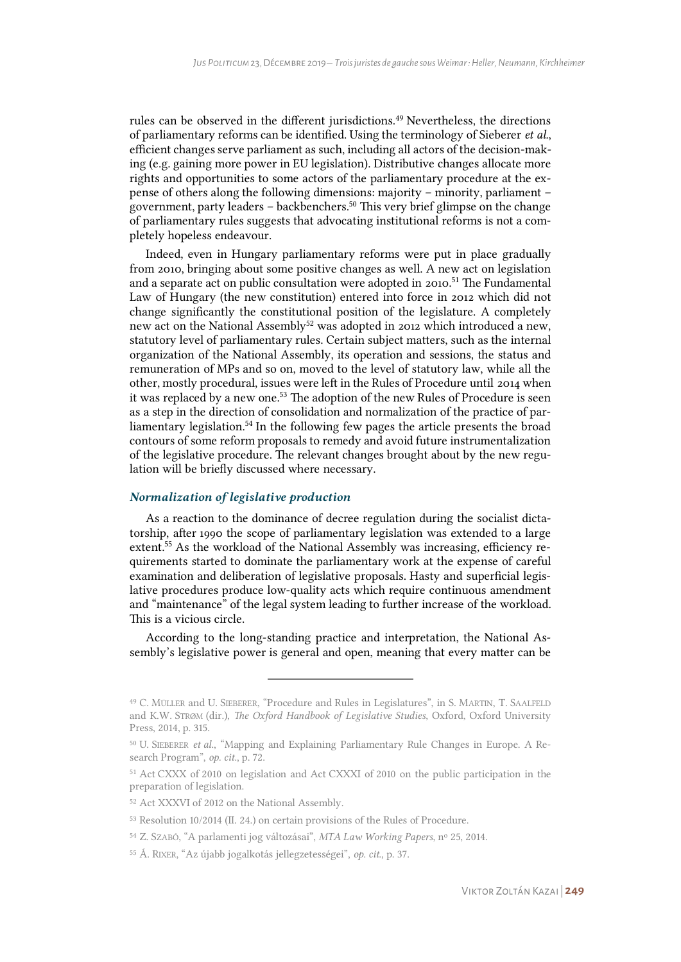rules can be observed in the different jurisdictions.<sup>49</sup> Nevertheless, the directions of parliamentary reforms can be identified. Using the terminology of Sieberer *et al.*, efficient changes serve parliament as such, including all actors of the decision-making (e.g. gaining more power in EU legislation). Distributive changes allocate more rights and opportunities to some actors of the parliamentary procedure at the expense of others along the following dimensions: majority – minority, parliament – government, party leaders – backbenchers.<sup>50</sup> This very brief glimpse on the change of parliamentary rules suggests that advocating institutional reforms is not a completely hopeless endeavour.

Indeed, even in Hungary parliamentary reforms were put in place gradually from 2010, bringing about some positive changes as well. A new act on legislation and a separate act on public consultation were adopted in 2010.<sup>51</sup> The Fundamental Law of Hungary (the new constitution) entered into force in 2012 which did not change significantly the constitutional position of the legislature. A completely new act on the National Assembly<sup>52</sup> was adopted in 2012 which introduced a new, statutory level of parliamentary rules. Certain subject matters, such as the internal organization of the National Assembly, its operation and sessions, the status and remuneration of MPs and so on, moved to the level of statutory law, while all the other, mostly procedural, issues were left in the Rules of Procedure until 2014 when it was replaced by a new one.<sup>53</sup> The adoption of the new Rules of Procedure is seen as a step in the direction of consolidation and normalization of the practice of parliamentary legislation.<sup>54</sup> In the following few pages the article presents the broad contours of some reform proposals to remedy and avoid future instrumentalization of the legislative procedure. The relevant changes brought about by the new regulation will be briefly discussed where necessary.

#### *Normalization of legislative production*

As a reaction to the dominance of decree regulation during the socialist dictatorship, after 1990 the scope of parliamentary legislation was extended to a large extent.<sup>55</sup> As the workload of the National Assembly was increasing, efficiency requirements started to dominate the parliamentary work at the expense of careful examination and deliberation of legislative proposals. Hasty and superficial legislative procedures produce low-quality acts which require continuous amendment and "maintenance" of the legal system leading to further increase of the workload. This is a vicious circle.

According to the long-standing practice and interpretation, the National Assembly's legislative power is general and open, meaning that every matter can be

<sup>49</sup> C. MÜLLER and U. SIEBERER, "Procedure and Rules in Legislatures", in S. MARTIN, T. SAALFELD and K.W. STRØM (dir.), *The Oxford Handbook of Legislative Studies*, Oxford, Oxford University Press, 2014, p. 315.

<sup>50</sup> U. SIEBERER *et al.*, "Mapping and Explaining Parliamentary Rule Changes in Europe. A Research Program", *op. cit.*, p. 72.

<sup>51</sup> Act CXXX of 2010 on legislation and Act CXXXI of 2010 on the public participation in the preparation of legislation.

<sup>52</sup> Act XXXVI of 2012 on the National Assembly.

<sup>53</sup> Resolution 10/2014 (II. 24.) on certain provisions of the Rules of Procedure.

<sup>54</sup> Z. SZABÓ, "A parlamenti jog változásai", *MTA Law Working Papers*, n<sup>o</sup> 25, 2014.

<sup>55</sup> Á. RIXER, "Az újabb jogalkotás jellegzetességei", *op. cit.*, p. 37.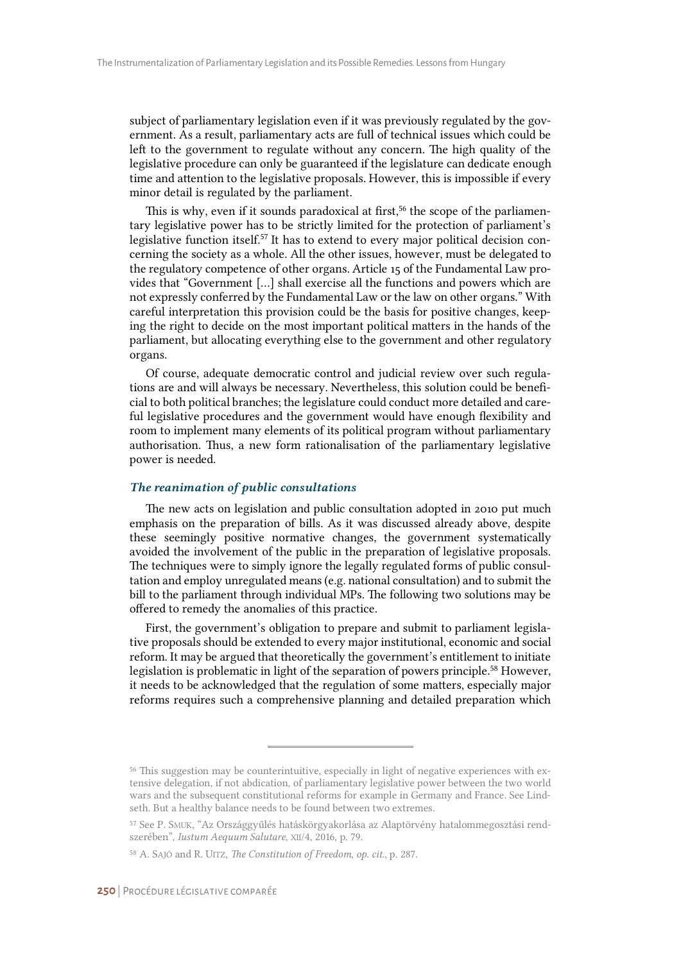subject of parliamentary legislation even if it was previously regulated by the government. As a result, parliamentary acts are full of technical issues which could be left to the government to regulate without any concern. The high quality of the legislative procedure can only be guaranteed if the legislature can dedicate enough time and attention to the legislative proposals. However, this is impossible if every minor detail is regulated by the parliament.

This is why, even if it sounds paradoxical at first,<sup>56</sup> the scope of the parliamentary legislative power has to be strictly limited for the protection of parliament's legislative function itself.<sup>57</sup> It has to extend to every major political decision concerning the society as a whole. All the other issues, however, must be delegated to the regulatory competence of other organs. Article 15 of the Fundamental Law provides that "Government […] shall exercise all the functions and powers which are not expressly conferred by the Fundamental Law or the law on other organs." With careful interpretation this provision could be the basis for positive changes, keeping the right to decide on the most important political matters in the hands of the parliament, but allocating everything else to the government and other regulatory organs.

Of course, adequate democratic control and judicial review over such regulations are and will always be necessary. Nevertheless, this solution could be beneficial to both political branches; the legislature could conduct more detailed and careful legislative procedures and the government would have enough flexibility and room to implement many elements of its political program without parliamentary authorisation. Thus, a new form rationalisation of the parliamentary legislative power is needed.

#### *The reanimation of public consultations*

The new acts on legislation and public consultation adopted in 2010 put much emphasis on the preparation of bills. As it was discussed already above, despite these seemingly positive normative changes, the government systematically avoided the involvement of the public in the preparation of legislative proposals. The techniques were to simply ignore the legally regulated forms of public consultation and employ unregulated means (e.g. national consultation) and to submit the bill to the parliament through individual MPs. The following two solutions may be offered to remedy the anomalies of this practice.

First, the government's obligation to prepare and submit to parliament legislative proposals should be extended to every major institutional, economic and social reform. It may be argued that theoretically the government's entitlement to initiate legislation is problematic in light of the separation of powers principle.<sup>58</sup> However, it needs to be acknowledged that the regulation of some matters, especially major reforms requires such a comprehensive planning and detailed preparation which

<sup>56</sup> This suggestion may be counterintuitive, especially in light of negative experiences with extensive delegation, if not abdication, of parliamentary legislative power between the two world wars and the subsequent constitutional reforms for example in Germany and France. See Lindseth. But a healthy balance needs to be found between two extremes.

<sup>57</sup> See P. SMUK, "Az Országgyűlés hatáskörgyakorlása az Alaptörvény hatalommegosztási rendszerében", *Iustum Aequum Salutare*, XII/4, 2016, p. 79.

<sup>58</sup> A. SAJÓ and R. UITZ, *The Constitution of Freedom*, *op. cit.*, p. 287.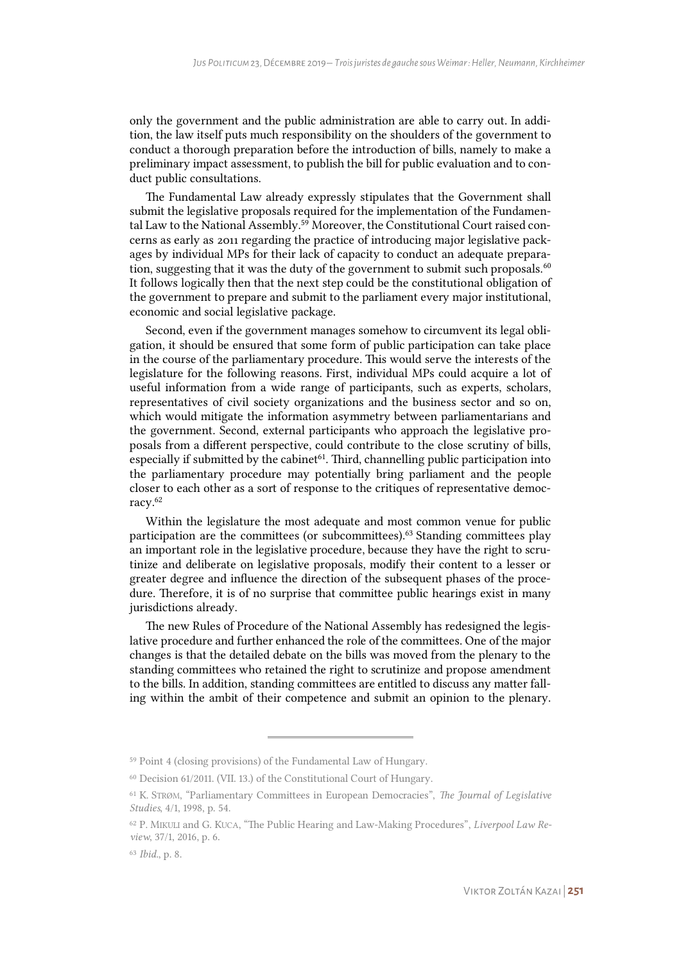only the government and the public administration are able to carry out. In addition, the law itself puts much responsibility on the shoulders of the government to conduct a thorough preparation before the introduction of bills, namely to make a preliminary impact assessment, to publish the bill for public evaluation and to conduct public consultations.

The Fundamental Law already expressly stipulates that the Government shall submit the legislative proposals required for the implementation of the Fundamental Law to the National Assembly.<sup>59</sup> Moreover, the Constitutional Court raised concerns as early as 2011 regarding the practice of introducing major legislative packages by individual MPs for their lack of capacity to conduct an adequate preparation, suggesting that it was the duty of the government to submit such proposals. $60$ It follows logically then that the next step could be the constitutional obligation of the government to prepare and submit to the parliament every major institutional, economic and social legislative package.

Second, even if the government manages somehow to circumvent its legal obligation, it should be ensured that some form of public participation can take place in the course of the parliamentary procedure. This would serve the interests of the legislature for the following reasons. First, individual MPs could acquire a lot of useful information from a wide range of participants, such as experts, scholars, representatives of civil society organizations and the business sector and so on, which would mitigate the information asymmetry between parliamentarians and the government. Second, external participants who approach the legislative proposals from a different perspective, could contribute to the close scrutiny of bills, especially if submitted by the cabinet $61$ . Third, channelling public participation into the parliamentary procedure may potentially bring parliament and the people closer to each other as a sort of response to the critiques of representative democracy.<sup>62</sup>

Within the legislature the most adequate and most common venue for public participation are the committees (or subcommittees).<sup>63</sup> Standing committees play an important role in the legislative procedure, because they have the right to scrutinize and deliberate on legislative proposals, modify their content to a lesser or greater degree and influence the direction of the subsequent phases of the procedure. Therefore, it is of no surprise that committee public hearings exist in many jurisdictions already.

The new Rules of Procedure of the National Assembly has redesigned the legislative procedure and further enhanced the role of the committees. One of the major changes is that the detailed debate on the bills was moved from the plenary to the standing committees who retained the right to scrutinize and propose amendment to the bills. In addition, standing committees are entitled to discuss any matter falling within the ambit of their competence and submit an opinion to the plenary.

<sup>59</sup> Point 4 (closing provisions) of the Fundamental Law of Hungary.

<sup>60</sup> Decision 61/2011. (VII. 13.) of the Constitutional Court of Hungary.

<sup>61</sup> K. STRØM, "Parliamentary Committees in European Democracies", *The Journal of Legislative Studies*, 4/1, 1998, p. 54.

<sup>62</sup> P. MIKULI and G. KUCA, "The Public Hearing and Law-Making Procedures", *Liverpool Law Review*, 37/1, 2016, p. 6.

<sup>63</sup> *Ibid.*, p. 8.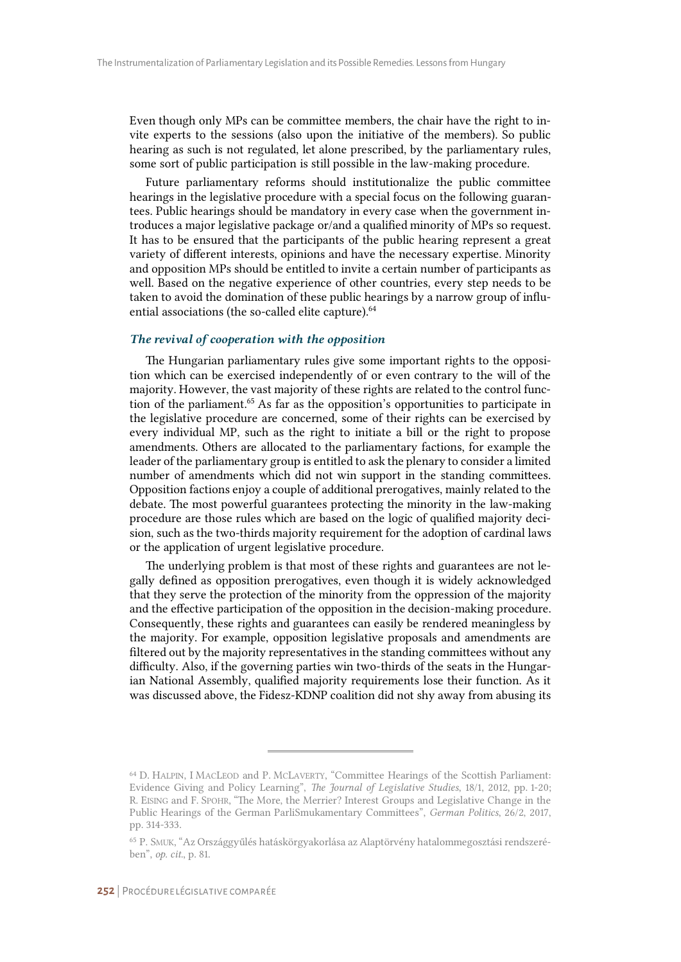Even though only MPs can be committee members, the chair have the right to invite experts to the sessions (also upon the initiative of the members). So public hearing as such is not regulated, let alone prescribed, by the parliamentary rules, some sort of public participation is still possible in the law-making procedure.

Future parliamentary reforms should institutionalize the public committee hearings in the legislative procedure with a special focus on the following guarantees. Public hearings should be mandatory in every case when the government introduces a major legislative package or/and a qualified minority of MPs so request. It has to be ensured that the participants of the public hearing represent a great variety of different interests, opinions and have the necessary expertise. Minority and opposition MPs should be entitled to invite a certain number of participants as well. Based on the negative experience of other countries, every step needs to be taken to avoid the domination of these public hearings by a narrow group of influential associations (the so-called elite capture).<sup>64</sup>

#### *The revival of cooperation with the opposition*

The Hungarian parliamentary rules give some important rights to the opposition which can be exercised independently of or even contrary to the will of the majority. However, the vast majority of these rights are related to the control function of the parliament.<sup>65</sup> As far as the opposition's opportunities to participate in the legislative procedure are concerned, some of their rights can be exercised by every individual MP, such as the right to initiate a bill or the right to propose amendments. Others are allocated to the parliamentary factions, for example the leader of the parliamentary group is entitled to ask the plenary to consider a limited number of amendments which did not win support in the standing committees. Opposition factions enjoy a couple of additional prerogatives, mainly related to the debate. The most powerful guarantees protecting the minority in the law-making procedure are those rules which are based on the logic of qualified majority decision, such as the two-thirds majority requirement for the adoption of cardinal laws or the application of urgent legislative procedure.

The underlying problem is that most of these rights and guarantees are not legally defined as opposition prerogatives, even though it is widely acknowledged that they serve the protection of the minority from the oppression of the majority and the effective participation of the opposition in the decision-making procedure. Consequently, these rights and guarantees can easily be rendered meaningless by the majority. For example, opposition legislative proposals and amendments are filtered out by the majority representatives in the standing committees without any difficulty. Also, if the governing parties win two-thirds of the seats in the Hungarian National Assembly, qualified majority requirements lose their function. As it was discussed above, the Fidesz-KDNP coalition did not shy away from abusing its

<sup>64</sup> D. HALPIN, I MACLEOD and P. MCLAVERTY, "Committee Hearings of the Scottish Parliament: Evidence Giving and Policy Learning", *The Journal of Legislative Studies*, 18/1, 2012, pp. 1-20; R. EISING and F. SPOHR, "The More, the Merrier? Interest Groups and Legislative Change in the Public Hearings of the German ParliSmukamentary Committees", *German Politics*, 26/2, 2017, pp. 314-333.

<sup>65</sup> P. SMUK, "Az Országgyűlés hatáskörgyakorlása az Alaptörvény hatalommegosztási rendszerében", *op. cit.*, p. 81.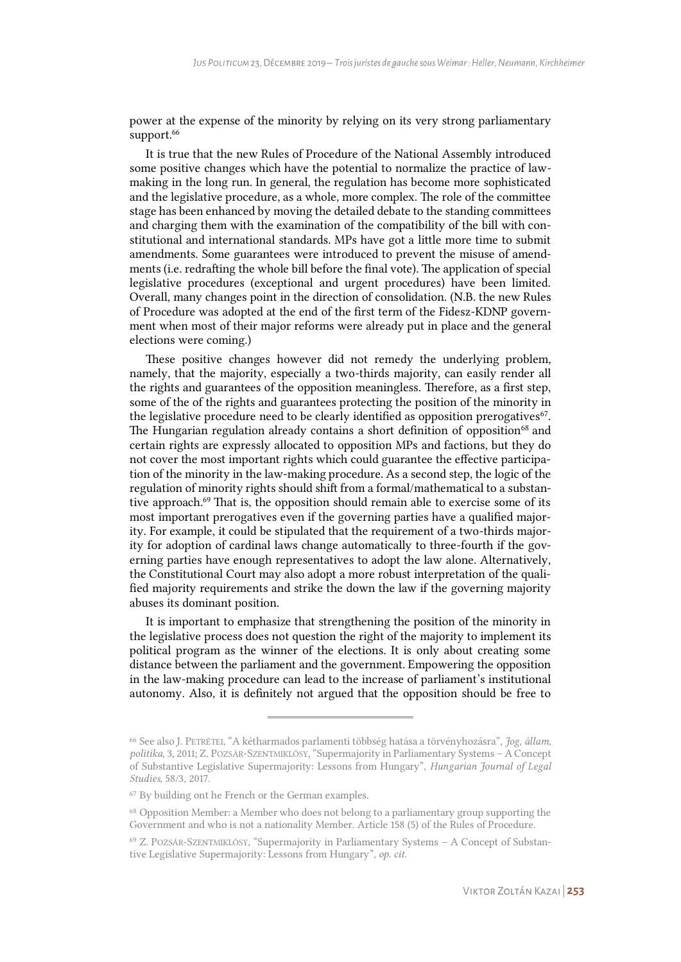power at the expense of the minority by relying on its very strong parliamentary support.<sup>66</sup>

It is true that the new Rules of Procedure of the National Assembly introduced some positive changes which have the potential to normalize the practice of lawmaking in the long run. In general, the regulation has become more sophisticated and the legislative procedure, as a whole, more complex. The role of the committee stage has been enhanced by moving the detailed debate to the standing committees and charging them with the examination of the compatibility of the bill with constitutional and international standards. MPs have got a little more time to submit amendments. Some guarantees were introduced to prevent the misuse of amendments (i.e. redrafting the whole bill before the final vote). The application of special legislative procedures (exceptional and urgent procedures) have been limited. Overall, many changes point in the direction of consolidation. (N.B. the new Rules of Procedure was adopted at the end of the first term of the Fidesz-KDNP government when most of their major reforms were already put in place and the general elections were coming.)

These positive changes however did not remedy the underlying problem, namely, that the majority, especially a two-thirds majority, can easily render all the rights and guarantees of the opposition meaningless. Therefore, as a first step, some of the of the rights and guarantees protecting the position of the minority in the legislative procedure need to be clearly identified as opposition prerogatives $67$ . The Hungarian regulation already contains a short definition of opposition<sup>68</sup> and certain rights are expressly allocated to opposition MPs and factions, but they do not cover the most important rights which could guarantee the effective participation of the minority in the law-making procedure. As a second step, the logic of the regulation of minority rights should shift from a formal/mathematical to a substantive approach.<sup>69</sup> That is, the opposition should remain able to exercise some of its most important prerogatives even if the governing parties have a qualified majority. For example, it could be stipulated that the requirement of a two-thirds majority for adoption of cardinal laws change automatically to three-fourth if the governing parties have enough representatives to adopt the law alone. Alternatively, the Constitutional Court may also adopt a more robust interpretation of the qualified majority requirements and strike the down the law if the governing majority abuses its dominant position.

It is important to emphasize that strengthening the position of the minority in the legislative process does not question the right of the majority to implement its political program as the winner of the elections. It is only about creating some distance between the parliament and the government. Empowering the opposition in the law-making procedure can lead to the increase of parliament's institutional autonomy. Also, it is definitely not argued that the opposition should be free to

<sup>66</sup> See also J. PETRÉTEI, "A kétharmados parlamenti többség hatása a törvényhozásra", *Jog, állam, politika*, 3, 2011; Z. POZSÁR-SZENTMIKLÓSY, "Supermajority in Parliamentary Systems – A Concept of Substantive Legislative Supermajority: Lessons from Hungary", *Hungarian Journal of Legal Studies*, 58/3, 2017.

<sup>67</sup> By building ont he French or the German examples.

<sup>68</sup> Opposition Member: a Member who does not belong to a parliamentary group supporting the Government and who is not a nationality Member. Article 158 (5) of the Rules of Procedure.

<sup>69</sup> Z. POZSÁR-SZENTMIKLÓSY, "Supermajority in Parliamentary Systems – A Concept of Substantive Legislative Supermajority: Lessons from Hungary", *op. cit.*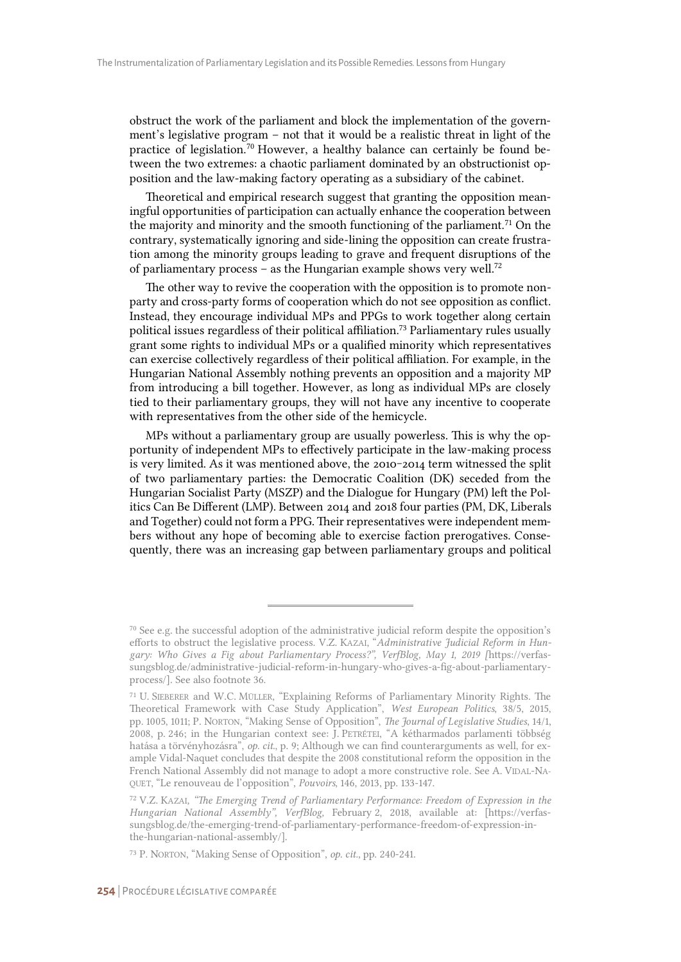obstruct the work of the parliament and block the implementation of the government's legislative program – not that it would be a realistic threat in light of the practice of legislation.<sup>70</sup> However, a healthy balance can certainly be found between the two extremes: a chaotic parliament dominated by an obstructionist opposition and the law-making factory operating as a subsidiary of the cabinet.

Theoretical and empirical research suggest that granting the opposition meaningful opportunities of participation can actually enhance the cooperation between the majority and minority and the smooth functioning of the parliament.<sup>71</sup> On the contrary, systematically ignoring and side-lining the opposition can create frustration among the minority groups leading to grave and frequent disruptions of the of parliamentary process – as the Hungarian example shows very well.<sup>72</sup>

The other way to revive the cooperation with the opposition is to promote nonparty and cross-party forms of cooperation which do not see opposition as conflict. Instead, they encourage individual MPs and PPGs to work together along certain political issues regardless of their political affiliation.<sup>73</sup> Parliamentary rules usually grant some rights to individual MPs or a qualified minority which representatives can exercise collectively regardless of their political affiliation. For example, in the Hungarian National Assembly nothing prevents an opposition and a majority MP from introducing a bill together. However, as long as individual MPs are closely tied to their parliamentary groups, they will not have any incentive to cooperate with representatives from the other side of the hemicycle.

MPs without a parliamentary group are usually powerless. This is why the opportunity of independent MPs to effectively participate in the law-making process is very limited. As it was mentioned above, the 2010-2014 term witnessed the split of two parliamentary parties: the Democratic Coalition (DK) seceded from the Hungarian Socialist Party (MSZP) and the Dialogue for Hungary (PM) left the Politics Can Be Different (LMP). Between 2014 and 2018 four parties (PM, DK, Liberals and Together) could not form a PPG. Their representatives were independent members without any hope of becoming able to exercise faction prerogatives. Consequently, there was an increasing gap between parliamentary groups and political

<sup>70</sup> See e.g. the successful adoption of the administrative judicial reform despite the opposition's efforts to obstruct the legislative process. V.Z. KAZAI, "*Administrative Judicial Reform in Hungary: Who Gives a Fig about Parliamentary Process?", VerfBlog, May 1, 2019 [*https://verfassungsblog.de/administrative-judicial-reform-in-hungary-who-gives-a-fig-about-parliamentaryprocess/]. See also footnote 36.

<sup>71</sup> U. SIEBERER and W.C. MÜLLER, "Explaining Reforms of Parliamentary Minority Rights. The Theoretical Framework with Case Study Application", *West European Politics*, 38/5, 2015, pp. 1005, 1011; P. NORTON, "Making Sense of Opposition", *The Journal of Legislative Studies*, 14/1, 2008, p. 246; in the Hungarian context see: J. PETRÉTEI, "A kétharmados parlamenti többség hatása a törvényhozásra", *op. cit*., p. 9; Although we can find counterarguments as well, for example Vidal-Naquet concludes that despite the 2008 constitutional reform the opposition in the French National Assembly did not manage to adopt a more constructive role. See A. VIDAL-NA-QUET, "Le renouveau de l'opposition", *Pouvoirs*, 146, 2013, pp. 133-147.

<sup>72</sup> V.Z. KAZAI*, "The Emerging Trend of Parliamentary Performance: Freedom of Expression in the Hungarian National Assembly", VerfBlog,* February 2, 2018, available at: [https://verfassungsblog.de/the-emerging-trend-of-parliamentary-performance-freedom-of-expression-inthe-hungarian-national-assembly/].

<sup>73</sup> P. NORTON, "Making Sense of Opposition", *op. cit.*, pp. 240-241.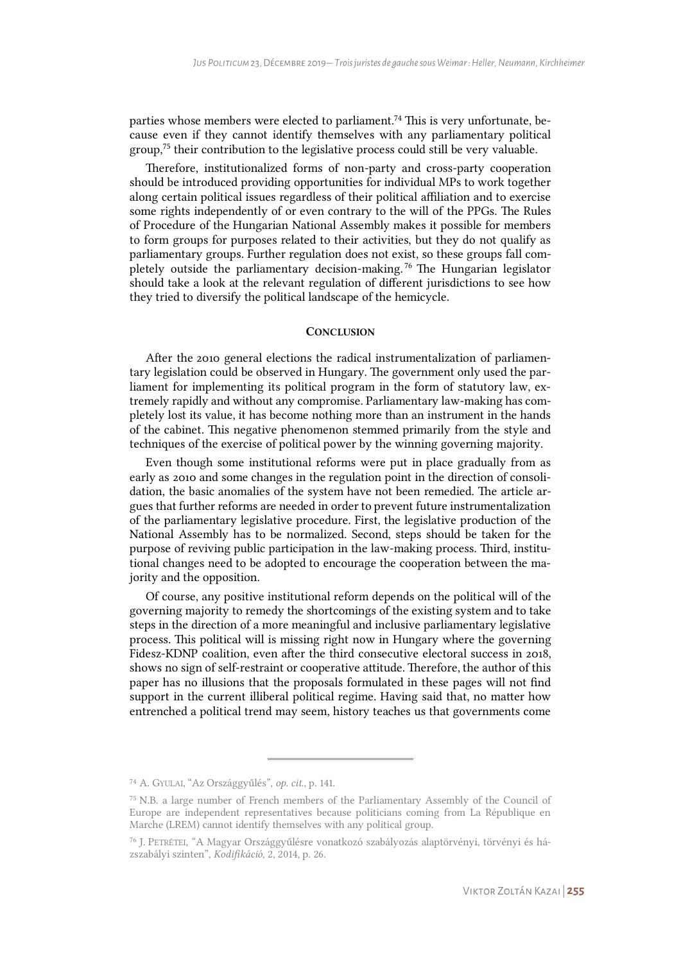parties whose members were elected to parliament.<sup>74</sup> This is very unfortunate, because even if they cannot identify themselves with any parliamentary political group,<sup>75</sup> their contribution to the legislative process could still be very valuable.

Therefore, institutionalized forms of non-party and cross-party cooperation should be introduced providing opportunities for individual MPs to work together along certain political issues regardless of their political affiliation and to exercise some rights independently of or even contrary to the will of the PPGs. The Rules of Procedure of the Hungarian National Assembly makes it possible for members to form groups for purposes related to their activities, but they do not qualify as parliamentary groups. Further regulation does not exist, so these groups fall completely outside the parliamentary decision-making.<sup>76</sup> The Hungarian legislator should take a look at the relevant regulation of different jurisdictions to see how they tried to diversify the political landscape of the hemicycle.

## **CONCLUSION**

After the 2010 general elections the radical instrumentalization of parliamentary legislation could be observed in Hungary. The government only used the parliament for implementing its political program in the form of statutory law, extremely rapidly and without any compromise. Parliamentary law-making has completely lost its value, it has become nothing more than an instrument in the hands of the cabinet. This negative phenomenon stemmed primarily from the style and techniques of the exercise of political power by the winning governing majority.

Even though some institutional reforms were put in place gradually from as early as 2010 and some changes in the regulation point in the direction of consolidation, the basic anomalies of the system have not been remedied. The article argues that further reforms are needed in order to prevent future instrumentalization of the parliamentary legislative procedure. First, the legislative production of the National Assembly has to be normalized. Second, steps should be taken for the purpose of reviving public participation in the law-making process. Third, institutional changes need to be adopted to encourage the cooperation between the majority and the opposition.

Of course, any positive institutional reform depends on the political will of the governing majority to remedy the shortcomings of the existing system and to take steps in the direction of a more meaningful and inclusive parliamentary legislative process. This political will is missing right now in Hungary where the governing Fidesz-KDNP coalition, even after the third consecutive electoral success in 2018, shows no sign of self-restraint or cooperative attitude. Therefore, the author of this paper has no illusions that the proposals formulated in these pages will not find support in the current illiberal political regime. Having said that, no matter how entrenched a political trend may seem, history teaches us that governments come

<sup>74</sup> A. GYULAI, "Az Országgyűlés", *op. cit.*, p. 141.

<sup>75</sup> N.B. a large number of French members of the Parliamentary Assembly of the Council of Europe are independent representatives because politicians coming from La République en Marche (LREM) cannot identify themselves with any political group.

<sup>76</sup> J. PETRÉTEI, "A Magyar Országgyűlésre vonatkozó szabályozás alaptörvényi, törvényi és házszabályi szinten", *Kodifikáció*, 2, 2014, p. 26.